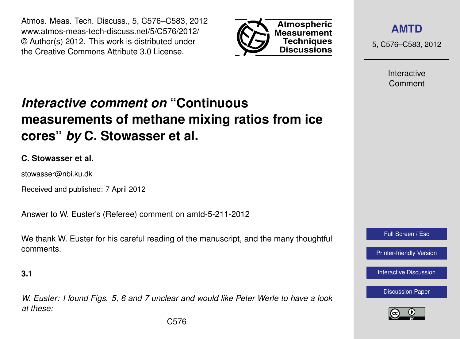Atmos. Meas. Tech. Discuss., 5, C576–C583, 2012 www.atmos-meas-tech-discuss.net/5/C576/2012/ © Author(s) 2012. This work is distributed under the Creative Commons Attribute 3.0 License.



**[AMTD](http://www.atmos-meas-tech-discuss.net)**

5, C576–C583, 2012

Interactive Comment

# *Interactive comment on* **"Continuous measurements of methane mixing ratios from ice cores"** *by* **C. Stowasser et al.**

## **C. Stowasser et al.**

stowasser@nbi.ku.dk

Received and published: 7 April 2012

Answer to W. Euster's (Referee) comment on amtd-5-211-2012

We thank W. Euster for his careful reading of the manuscript, and the many thoughtful comments.

### **3.1**

*W. Euster: I found Figs. 5, 6 and 7 unclear and would like Peter Werle to have a look at these:*



[Printer-friendly Version](http://www.atmos-meas-tech-discuss.net/5/C576/2012/amtd-5-C576-2012-print.pdf)

[Interactive Discussion](http://www.atmos-meas-tech-discuss.net/5/211/2012/amtd-5-211-2012-discussion.html)



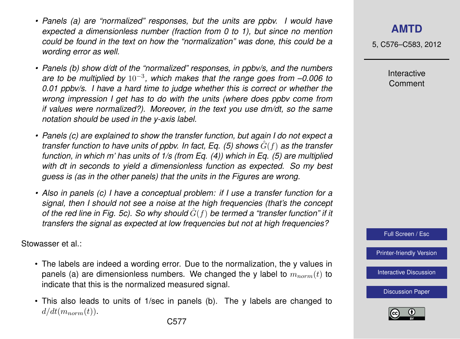- *• Panels (a) are "normalized" responses, but the units are ppbv. I would have expected a dimensionless number (fraction from 0 to 1), but since no mention could be found in the text on how the "normalization" was done, this could be a wording error as well.*
- *• Panels (b) show d/dt of the "normalized" responses, in ppbv/s, and the numbers are to be multiplied by* 10−<sup>3</sup> *, which makes that the range goes from –0.006 to 0.01 ppbv/s. I have a hard time to judge whether this is correct or whether the wrong impression I get has to do with the units (where does ppbv come from if values were normalized?). Moreover, in the text you use dm/dt, so the same notation should be used in the y-axis label.*
- *• Panels (c) are explained to show the transfer function, but again I do not expect a transfer function to have units of ppbv. In fact, Eq. (5) shows*  $\hat{G}(f)$  *as the transfer function, in which m' has units of 1/s (from Eq. (4)) which in Eq. (5) are multiplied with dt in seconds to yield a dimensionless function as expected. So my best guess is (as in the other panels) that the units in the Figures are wrong.*
- *• Also in panels (c) I have a conceptual problem: if I use a transfer function for a signal, then I should not see a noise at the high frequencies (that's the concept of the red line in Fig. 5c). So why should*  $\hat{G}(f)$  *be termed a "transfer function" if it transfers the signal as expected at low frequencies but not at high frequencies?*

Stowasser et al.:

- The labels are indeed a wording error. Due to the normalization, the y values in panels (a) are dimensionless numbers. We changed the y label to  $m_{norm}(t)$  to indicate that this is the normalized measured signal.
- This also leads to units of 1/sec in panels (b). The y labels are changed to  $d/dt(m_{norm}(t)).$

5, C576–C583, 2012

Interactive Comment



[Printer-friendly Version](http://www.atmos-meas-tech-discuss.net/5/C576/2012/amtd-5-C576-2012-print.pdf)

[Interactive Discussion](http://www.atmos-meas-tech-discuss.net/5/211/2012/amtd-5-211-2012-discussion.html)

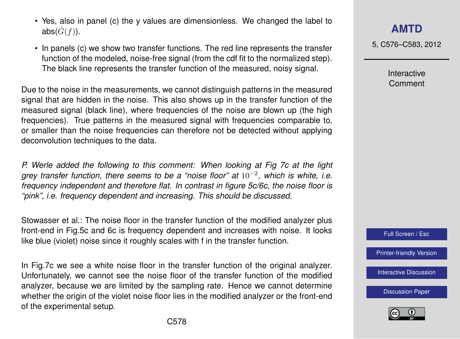- Yes, also in panel (c) the y values are dimensionless. We changed the label to abs( $\hat{G}(f)$ ).
- In panels (c) we show two transfer functions. The red line represents the transfer function of the modeled, noise-free signal (from the cdf fit to the normalized step). The black line represents the transfer function of the measured, noisy signal.

Due to the noise in the measurements, we cannot distinguish patterns in the measured signal that are hidden in the noise. This also shows up in the transfer function of the measured signal (black line), where frequencies of the noise are blown up (the high frequencies). True patterns in the measured signal with frequencies comparable to, or smaller than the noise frequencies can therefore not be detected without applying deconvolution techniques to the data.

*P. Werle added the following to this comment: When looking at Fig 7c at the light grey transfer function, there seems to be a "noise floor" at* 10−<sup>2</sup> *, which is white, i.e. frequency independent and therefore flat. In contrast in figure 5c/6c, the noise floor is "pink", i.e. frequency dependent and increasing. This should be discussed.*

Stowasser et al.: The noise floor in the transfer function of the modified analyzer plus front-end in Fig.5c and 6c is frequency dependent and increases with noise. It looks like blue (violet) noise since it roughly scales with f in the transfer function.

In Fig.7c we see a white noise floor in the transfer function of the original analyzer. Unfortunately, we cannot see the noise floor of the transfer function of the modified analyzer, because we are limited by the sampling rate. Hence we cannot determine whether the origin of the violet noise floor lies in the modified analyzer or the front-end of the experimental setup.

5, C576–C583, 2012

Interactive Comment



[Printer-friendly Version](http://www.atmos-meas-tech-discuss.net/5/C576/2012/amtd-5-C576-2012-print.pdf)

[Interactive Discussion](http://www.atmos-meas-tech-discuss.net/5/211/2012/amtd-5-211-2012-discussion.html)

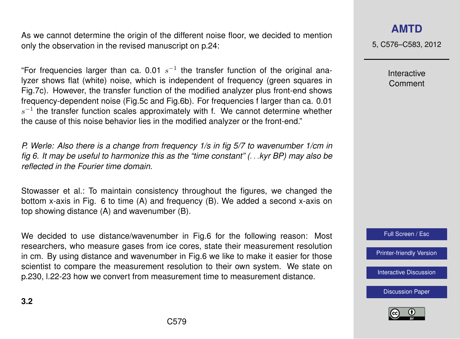As we cannot determine the origin of the different noise floor, we decided to mention only the observation in the revised manuscript on p.24:

"For frequencies larger than ca. 0.01  $s^{-1}$  the transfer function of the original analyzer shows flat (white) noise, which is independent of frequency (green squares in Fig.7c). However, the transfer function of the modified analyzer plus front-end shows frequency-dependent noise (Fig.5c and Fig.6b). For frequencies f larger than ca. 0.01  $s^{-1}$  the transfer function scales approximately with f. We cannot determine whether the cause of this noise behavior lies in the modified analyzer or the front-end."

*P. Werle: Also there is a change from frequency 1/s in fig 5/7 to wavenumber 1/cm in fig 6. It may be useful to harmonize this as the "time constant" (*. . .*kyr BP) may also be reflected in the Fourier time domain.*

Stowasser et al.: To maintain consistency throughout the figures, we changed the bottom x-axis in Fig. 6 to time (A) and frequency (B). We added a second x-axis on top showing distance (A) and wavenumber (B).

We decided to use distance/wavenumber in Fig.6 for the following reason: Most researchers, who measure gases from ice cores, state their measurement resolution in cm. By using distance and wavenumber in Fig.6 we like to make it easier for those scientist to compare the measurement resolution to their own system. We state on p.230, l.22-23 how we convert from measurement time to measurement distance.

**[AMTD](http://www.atmos-meas-tech-discuss.net)**

5, C576–C583, 2012

Interactive Comment

Full Screen / Esc

[Printer-friendly Version](http://www.atmos-meas-tech-discuss.net/5/C576/2012/amtd-5-C576-2012-print.pdf)

[Interactive Discussion](http://www.atmos-meas-tech-discuss.net/5/211/2012/amtd-5-211-2012-discussion.html)

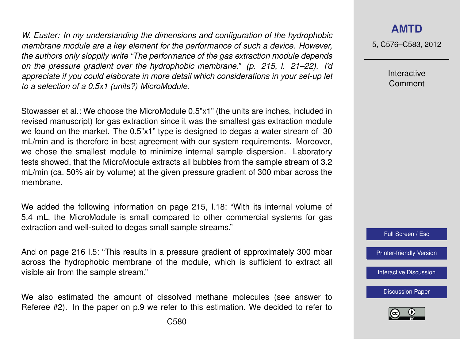*W. Euster: In my understanding the dimensions and configuration of the hydrophobic membrane module are a key element for the performance of such a device. However, the authors only sloppily write "The performance of the gas extraction module depends on the pressure gradient over the hydrophobic membrane." (p. 215, l. 21–22). I'd appreciate if you could elaborate in more detail which considerations in your set-up let to a selection of a 0.5x1 (units?) MicroModule.*

Stowasser et al.: We choose the MicroModule 0.5"x1" (the units are inches, included in revised manuscript) for gas extraction since it was the smallest gas extraction module we found on the market. The 0.5"x1" type is designed to degas a water stream of 30 mL/min and is therefore in best agreement with our system requirements. Moreover, we chose the smallest module to minimize internal sample dispersion. Laboratory tests showed, that the MicroModule extracts all bubbles from the sample stream of 3.2 mL/min (ca. 50% air by volume) at the given pressure gradient of 300 mbar across the membrane.

We added the following information on page 215, 1.18: "With its internal volume of 5.4 mL, the MicroModule is small compared to other commercial systems for gas extraction and well-suited to degas small sample streams."

And on page 216 l.5: "This results in a pressure gradient of approximately 300 mbar across the hydrophobic membrane of the module, which is sufficient to extract all visible air from the sample stream."

We also estimated the amount of dissolved methane molecules (see answer to Referee #2). In the paper on p.9 we refer to this estimation. We decided to refer to 5, C576–C583, 2012

Interactive Comment



[Printer-friendly Version](http://www.atmos-meas-tech-discuss.net/5/C576/2012/amtd-5-C576-2012-print.pdf)

[Interactive Discussion](http://www.atmos-meas-tech-discuss.net/5/211/2012/amtd-5-211-2012-discussion.html)

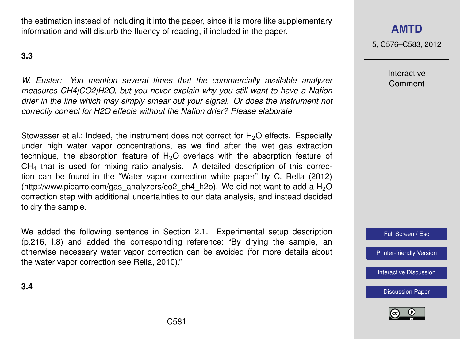the estimation instead of including it into the paper, since it is more like supplementary information and will disturb the fluency of reading, if included in the paper.

#### **3.3**

*W. Euster: You mention several times that the commercially available analyzer measures CH4|CO2|H2O, but you never explain why you still want to have a Nafion drier in the line which may simply smear out your signal. Or does the instrument not correctly correct for H2O effects without the Nafion drier? Please elaborate.*

Stowasser et al.: Indeed, the instrument does not correct for  $H_2O$  effects. Especially under high water vapor concentrations, as we find after the wet gas extraction technique, the absorption feature of  $H<sub>2</sub>O$  overlaps with the absorption feature of  $CH<sub>4</sub>$  that is used for mixing ratio analysis. A detailed description of this correction can be found in the "Water vapor correction white paper" by C. Rella (2012) [\(http://www.picarro.com/gas\\_analyzers/co2\\_ch4\\_h2o\)](http://www.picarro.com/gas_analyzers/co2_ch4_h2o). We did not want to add a H<sub>2</sub>O correction step with additional uncertainties to our data analysis, and instead decided to dry the sample.

We added the following sentence in Section 2.1. Experimental setup description (p.216, l.8) and added the corresponding reference: "By drying the sample, an otherwise necessary water vapor correction can be avoided (for more details about the water vapor correction see Rella, 2010)."

## **[AMTD](http://www.atmos-meas-tech-discuss.net)**

5, C576–C583, 2012

Interactive Comment

Full Screen / Esc

[Printer-friendly Version](http://www.atmos-meas-tech-discuss.net/5/C576/2012/amtd-5-C576-2012-print.pdf)

[Interactive Discussion](http://www.atmos-meas-tech-discuss.net/5/211/2012/amtd-5-211-2012-discussion.html)

[Discussion Paper](http://www.atmos-meas-tech-discuss.net/5/211/2012/amtd-5-211-2012.pdf)



**3.4**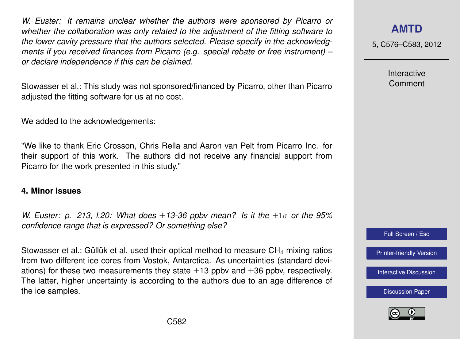*W. Euster: It remains unclear whether the authors were sponsored by Picarro or whether the collaboration was only related to the adjustment of the fitting software to the lower cavity pressure that the authors selected. Please specify in the acknowledgments if you received finances from Picarro (e.g. special rebate or free instrument) – or declare independence if this can be claimed.*

Stowasser et al.: This study was not sponsored/financed by Picarro, other than Picarro adjusted the fitting software for us at no cost.

We added to the acknowledgements:

"We like to thank Eric Crosson, Chris Rella and Aaron van Pelt from Picarro Inc. for their support of this work. The authors did not receive any financial support from Picarro for the work presented in this study."

#### **4. Minor issues**

*W. Euster: p. 213, l.20: What does* ±*13-36 ppbv mean? Is it the* ±1σ *or the 95% confidence range that is expressed? Or something else?*

Stowasser et al.: Güllük et al. used their optical method to measure  $CH<sub>4</sub>$  mixing ratios from two different ice cores from Vostok, Antarctica. As uncertainties (standard deviations) for these two measurements they state  $\pm 13$  ppbv and  $\pm 36$  ppbv, respectively. The latter, higher uncertainty is according to the authors due to an age difference of the ice samples.

## **[AMTD](http://www.atmos-meas-tech-discuss.net)**

5, C576–C583, 2012

Interactive Comment



[Printer-friendly Version](http://www.atmos-meas-tech-discuss.net/5/C576/2012/amtd-5-C576-2012-print.pdf)

[Interactive Discussion](http://www.atmos-meas-tech-discuss.net/5/211/2012/amtd-5-211-2012-discussion.html)